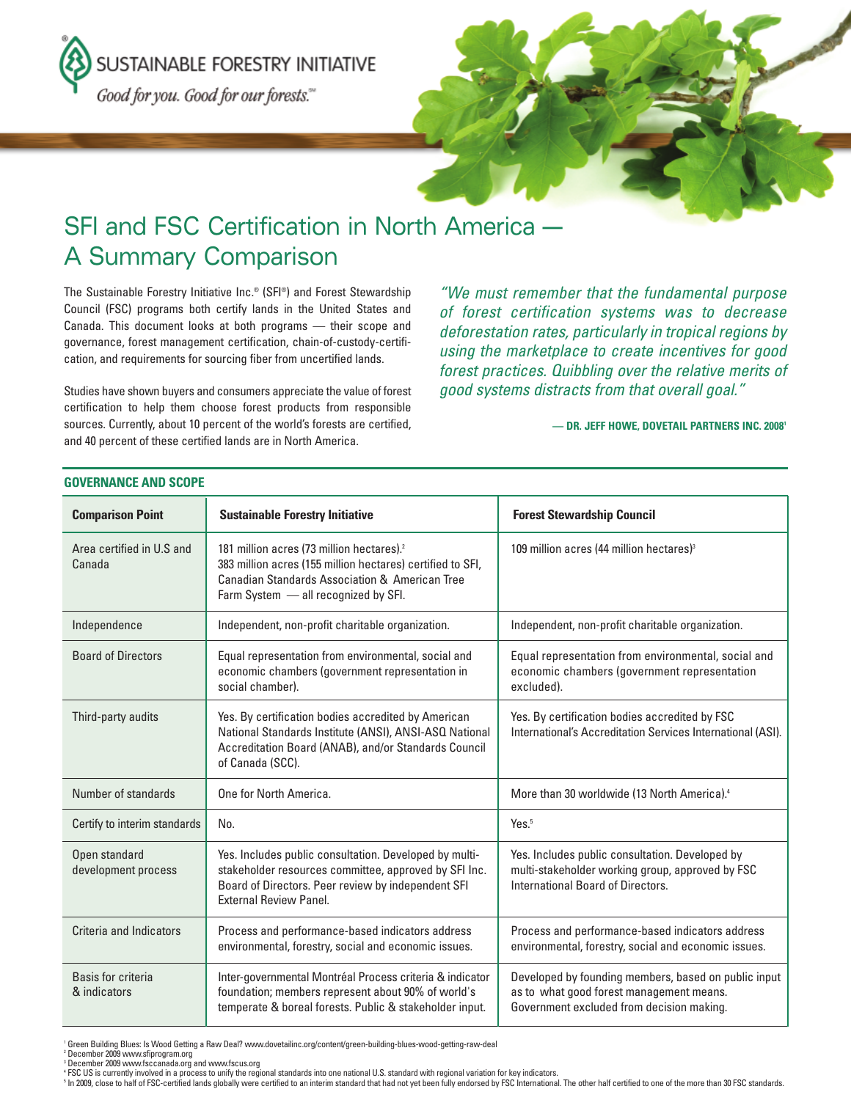SUSTAINABLE FORESTRY INITIATIVE

Good for you. Good for our forests."



# SFI and FSC Certification in North America — A Summary Comparison

The Sustainable Forestry Initiative Inc.® (SFI®) and Forest Stewardship Council (FSC) programs both certify lands in the United States and Canada. This document looks at both programs — their scope and governance, forest management certification, chain-of-custody-certification, and requirements for sourcing fiber from uncertified lands.

Studies have shown buyers and consumers appreciate the value of forest certification to help them choose forest products from responsible sources. Currently, about 10 percent of the world's forests are certified, and 40 percent of these certified lands are in North America.

"We must remember that the fundamental purpose of forest certification systems was to decrease deforestation rates, particularly in tropical regions by using the marketplace to create incentives for good forest practices. Quibbling over the relative merits of good systems distracts from that overall goal."

#### **— DR. JEFF HOWE, DOVETAIL PARTNERS INC. 20081**

| <b>Comparison Point</b>              | <b>Sustainable Forestry Initiative</b>                                                                                                                                                                                   | <b>Forest Stewardship Council</b>                                                                                                             |  |  |  |  |  |
|--------------------------------------|--------------------------------------------------------------------------------------------------------------------------------------------------------------------------------------------------------------------------|-----------------------------------------------------------------------------------------------------------------------------------------------|--|--|--|--|--|
| Area certified in U.S and<br>Canada  | 181 million acres (73 million hectares). <sup>2</sup><br>383 million acres (155 million hectares) certified to SFI,<br><b>Canadian Standards Association &amp; American Tree</b><br>Farm System - all recognized by SFI. | 109 million acres (44 million hectares) <sup>3</sup>                                                                                          |  |  |  |  |  |
| Independence                         | Independent, non-profit charitable organization.                                                                                                                                                                         | Independent, non-profit charitable organization.                                                                                              |  |  |  |  |  |
| <b>Board of Directors</b>            | Equal representation from environmental, social and<br>economic chambers (government representation in<br>social chamber).                                                                                               | Equal representation from environmental, social and<br>economic chambers (government representation<br>excluded).                             |  |  |  |  |  |
| Third-party audits                   | Yes. By certification bodies accredited by American<br>National Standards Institute (ANSI), ANSI-ASQ National<br>Accreditation Board (ANAB), and/or Standards Council<br>of Canada (SCC).                                | Yes. By certification bodies accredited by FSC<br>International's Accreditation Services International (ASI).                                 |  |  |  |  |  |
| Number of standards                  | One for North America.                                                                                                                                                                                                   | More than 30 worldwide (13 North America). <sup>4</sup>                                                                                       |  |  |  |  |  |
| Certify to interim standards         | No.                                                                                                                                                                                                                      | Yes. <sup>5</sup>                                                                                                                             |  |  |  |  |  |
| Open standard<br>development process | Yes. Includes public consultation. Developed by multi-<br>stakeholder resources committee, approved by SFI Inc.<br>Board of Directors. Peer review by independent SFI<br><b>External Review Panel.</b>                   | Yes. Includes public consultation. Developed by<br>multi-stakeholder working group, approved by FSC<br>International Board of Directors.      |  |  |  |  |  |
| Criteria and Indicators              | Process and performance-based indicators address<br>environmental, forestry, social and economic issues.                                                                                                                 | Process and performance-based indicators address<br>environmental, forestry, social and economic issues.                                      |  |  |  |  |  |
| Basis for criteria<br>& indicators   | Inter-governmental Montréal Process criteria & indicator<br>foundation; members represent about 90% of world's<br>temperate & boreal forests. Public & stakeholder input.                                                | Developed by founding members, based on public input<br>as to what good forest management means.<br>Government excluded from decision making. |  |  |  |  |  |

## **GOVERNANCE AND SCOPE**

<sup>1</sup> Green Building Blues: Is Wood Getting a Raw Deal? www.dovetailinc.org/content/green-building-blues-wood-getting-raw-deal

<sup>2</sup> December 2009 www.sfiprogram.org<br><sup>3</sup> December 2009 www.fsccanada.org and www.fscus.org

<sup>5</sup> In 2009, close to half of FSC-certified lands globally were certified to an interim standard that had not yet been fully endorsed by FSC International. The other half certified to one of the more than 30 FSC standards.

<sup>4</sup> FSC US is currently involved in a process to unify the regional standards into one national U.S. standard with regional variation for key indicators.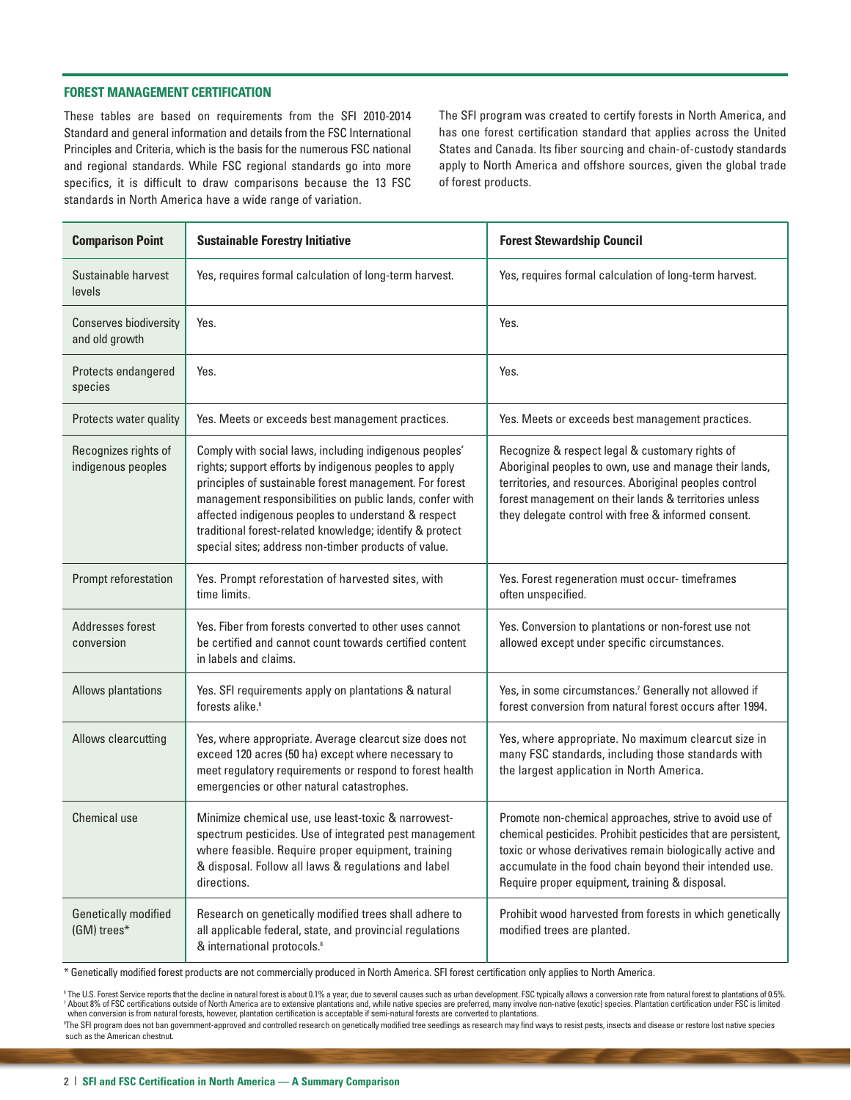## **FOREST MANAGEMENT CERTIFICATION**

These tables are based on requirements from the SFI 2010-2014 Standard and general information and details from the FSC International Principles and Criteria, which is the basis for the numerous FSC national and regional standards. While FSC regional standards go into more specifics, it is difficult to draw comparisons because the 13 FSC standards in North America have a wide range of variation.

The SFI program was created to certify forests in North America, and has one forest certification standard that applies across the United States and Canada. Its fiber sourcing and chain-of-custody standards apply to North America and offshore sources, given the global trade of forest products.

| <b>Comparison Point</b>                         | <b>Sustainable Forestry Initiative</b>                                                                                                                                                                                                                                                                                                                                                                             | <b>Forest Stewardship Council</b>                                                                                                                                                                                                                                                                  |  |
|-------------------------------------------------|--------------------------------------------------------------------------------------------------------------------------------------------------------------------------------------------------------------------------------------------------------------------------------------------------------------------------------------------------------------------------------------------------------------------|----------------------------------------------------------------------------------------------------------------------------------------------------------------------------------------------------------------------------------------------------------------------------------------------------|--|
| Sustainable harvest<br>levels                   | Yes, requires formal calculation of long-term harvest.                                                                                                                                                                                                                                                                                                                                                             | Yes, requires formal calculation of long-term harvest.                                                                                                                                                                                                                                             |  |
| <b>Conserves biodiversity</b><br>and old growth | Yes.                                                                                                                                                                                                                                                                                                                                                                                                               | Yes.                                                                                                                                                                                                                                                                                               |  |
| Protects endangered<br>species                  | Yes.                                                                                                                                                                                                                                                                                                                                                                                                               | Yes.                                                                                                                                                                                                                                                                                               |  |
| Protects water quality                          | Yes. Meets or exceeds best management practices.                                                                                                                                                                                                                                                                                                                                                                   | Yes. Meets or exceeds best management practices.                                                                                                                                                                                                                                                   |  |
| Recognizes rights of<br>indigenous peoples      | Comply with social laws, including indigenous peoples'<br>rights; support efforts by indigenous peoples to apply<br>principles of sustainable forest management. For forest<br>management responsibilities on public lands, confer with<br>affected indigenous peoples to understand & respect<br>traditional forest-related knowledge; identify & protect<br>special sites; address non-timber products of value. | Recognize & respect legal & customary rights of<br>Aboriginal peoples to own, use and manage their lands,<br>territories, and resources. Aboriginal peoples control<br>forest management on their lands & territories unless<br>they delegate control with free & informed consent.                |  |
| Prompt reforestation                            | Yes. Prompt reforestation of harvested sites, with<br>time limits.                                                                                                                                                                                                                                                                                                                                                 | Yes. Forest regeneration must occur- timeframes<br>often unspecified.                                                                                                                                                                                                                              |  |
| Addresses forest<br>conversion                  | Yes. Fiber from forests converted to other uses cannot<br>be certified and cannot count towards certified content<br>in labels and claims.                                                                                                                                                                                                                                                                         | Yes. Conversion to plantations or non-forest use not<br>allowed except under specific circumstances.                                                                                                                                                                                               |  |
| <b>Allows plantations</b>                       | Yes. SFI requirements apply on plantations & natural<br>forests alike. <sup>6</sup>                                                                                                                                                                                                                                                                                                                                | Yes, in some circumstances. <sup>7</sup> Generally not allowed if<br>forest conversion from natural forest occurs after 1994.                                                                                                                                                                      |  |
| <b>Allows clearcutting</b>                      | Yes, where appropriate. Average clearcut size does not<br>exceed 120 acres (50 ha) except where necessary to<br>meet regulatory requirements or respond to forest health<br>emergencies or other natural catastrophes.                                                                                                                                                                                             | Yes, where appropriate. No maximum clearcut size in<br>many FSC standards, including those standards with<br>the largest application in North America.                                                                                                                                             |  |
| Chemical use                                    | Minimize chemical use, use least-toxic & narrowest-<br>spectrum pesticides. Use of integrated pest management<br>where feasible. Require proper equipment, training<br>& disposal. Follow all laws & regulations and label<br>directions.                                                                                                                                                                          | Promote non-chemical approaches, strive to avoid use of<br>chemical pesticides. Prohibit pesticides that are persistent,<br>toxic or whose derivatives remain biologically active and<br>accumulate in the food chain beyond their intended use.<br>Require proper equipment, training & disposal. |  |
| Genetically modified<br>(GM) trees*             | Research on genetically modified trees shall adhere to<br>all applicable federal, state, and provincial regulations<br>& international protocols. <sup>8</sup>                                                                                                                                                                                                                                                     | Prohibit wood harvested from forests in which genetically<br>modified trees are planted.                                                                                                                                                                                                           |  |

\* Genetically modified forest products are not commercially produced in North America. SFI forest certification only applies to North America.

<sup>6</sup> The U.S. Forest Service reports that the decline in natural forest is about 0.1% a year, due to several causes such as urban development. FSC typically allows a conversion rate from natural forest to plantations of 0.5 <sup>7</sup> About 8% of FSC certifications outside of North America are to extensive plantations and, while native species are preferred, many involve non-native (exotic) species. Plantation certification under FSC is limited when conversion is from natural forests, however, plantation certification is acceptable if semi-natural forests are converted to plantations. The SFI program does not ban government-approved and controlled research on genetically modified tree seedlings as research may find ways to resist pests, insects and disease or restore lost native species

such as the American chestnut.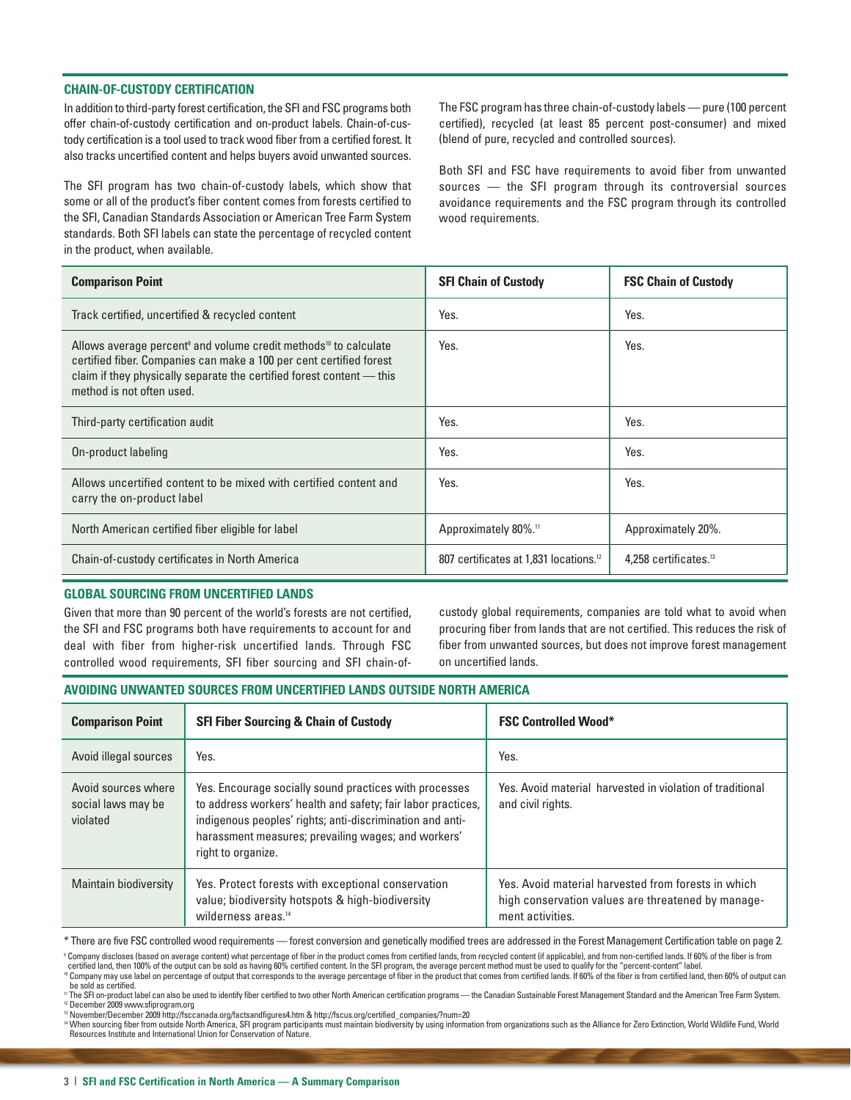## **CHAIN-OF-CUSTODY CERTIFICATION**

In addition to third-party forest certification, the SFI and FSC programs both offer chain-of-custody certification and on-product labels. Chain-of-custody certification is a tool used to track wood fiber from a certified forest. It also tracks uncertified content and helps buyers avoid unwanted sources.

The SFI program has two chain-of-custody labels, which show that some or all of the product's fiber content comes from forests certified to the SFI, Canadian Standards Association or American Tree Farm System standards. Both SFI labels can state the percentage of recycled content in the product, when available.

The FSC program has three chain-of-custody labels — pure (100 percent certified), recycled (at least 85 percent post-consumer) and mixed (blend of pure, recycled and controlled sources).

Both SFI and FSC have requirements to avoid fiber from unwanted sources — the SFI program through its controversial sources avoidance requirements and the FSC program through its controlled wood requirements.

| <b>Comparison Point</b>                                                                                                                                                                                                                                               | <b>SFI Chain of Custody</b>                        | <b>FSC Chain of Custody</b>       |
|-----------------------------------------------------------------------------------------------------------------------------------------------------------------------------------------------------------------------------------------------------------------------|----------------------------------------------------|-----------------------------------|
| Track certified, uncertified & recycled content                                                                                                                                                                                                                       | Yes.                                               | Yes.                              |
| Allows average percent <sup>9</sup> and volume credit methods <sup>10</sup> to calculate<br>certified fiber. Companies can make a 100 per cent certified forest<br>claim if they physically separate the certified forest content - this<br>method is not often used. | Yes.                                               | Yes.                              |
| Third-party certification audit                                                                                                                                                                                                                                       | Yes.                                               | Yes.                              |
| On-product labeling                                                                                                                                                                                                                                                   | Yes.                                               | Yes.                              |
| Allows uncertified content to be mixed with certified content and<br>carry the on-product label                                                                                                                                                                       | Yes.                                               | Yes.                              |
| North American certified fiber eligible for label                                                                                                                                                                                                                     | Approximately 80%. <sup>11</sup>                   | Approximately 20%.                |
| Chain-of-custody certificates in North America                                                                                                                                                                                                                        | 807 certificates at 1,831 locations. <sup>12</sup> | 4.258 certificates. <sup>13</sup> |

## **GLOBAL SOURCING FROM UNCERTIFIED LANDS**

Given that more than 90 percent of the world's forests are not certified, the SFI and FSC programs both have requirements to account for and deal with fiber from higher-risk uncertified lands. Through FSC controlled wood requirements, SFI fiber sourcing and SFI chain-ofcustody global requirements, companies are told what to avoid when procuring fiber from lands that are not certified. This reduces the risk of fiber from unwanted sources, but does not improve forest management on uncertified lands.

## **AVOIDING UNWANTED SOURCES FROM UNCERTIFIED LANDS OUTSIDE NORTH AMERICA**

| <b>Comparison Point</b>                               | <b>SFI Fiber Sourcing &amp; Chain of Custody</b>                                                                                                                                                                                                                 | <b>FSC Controlled Wood*</b>                                                                                                   |
|-------------------------------------------------------|------------------------------------------------------------------------------------------------------------------------------------------------------------------------------------------------------------------------------------------------------------------|-------------------------------------------------------------------------------------------------------------------------------|
| Avoid illegal sources                                 | Yes.                                                                                                                                                                                                                                                             | Yes.                                                                                                                          |
| Avoid sources where<br>social laws may be<br>violated | Yes. Encourage socially sound practices with processes<br>to address workers' health and safety; fair labor practices,<br>indigenous peoples' rights; anti-discrimination and anti-<br>harassment measures; prevailing wages; and workers'<br>right to organize. | Yes. Avoid material harvested in violation of traditional<br>and civil rights.                                                |
| <b>Maintain biodiversity</b>                          | Yes. Protect forests with exceptional conservation<br>value; biodiversity hotspots & high-biodiversity<br>wilderness areas. <sup>14</sup>                                                                                                                        | Yes. Avoid material harvested from forests in which<br>high conservation values are threatened by manage-<br>ment activities. |

\* There are five FSC controlled wood requirements — forest conversion and genetically modified trees are addressed in the Forest Management Certification table on page 2.

<sup>9</sup> Company discloses (based on average content) what percentage of fiber in the product comes from certified lands, from recycled content (if applicable), and from non-certified lands. If 60% of the fiber is from certified land, then 100% of the output can be sold as having 60% certified content. In the SFI program, the average percent method must be used to qualify for the "percent-content" label.<br>® Company may use label on percen

be sold as certified.

<sup>11</sup> The SFI on-product label can also be used to identify fiber certified to two other North American certification programs — the Canadian Sustainable Forest Management Standard and the American Tree Farm System. <sup>12</sup> December 2009 www.sfiprogram.org

<sup>13</sup> November/December 2009 http://fsccanada.org/factsandfigures4.htm & http://fscus.org/certified\_companies/?num=20

™ When sourcing fiber from outside North America, SFI program participants must maintain biodiversity by using information from organizations such as the Alliance for Zero Extinction, World Wildlife Fund, World<br>Resources